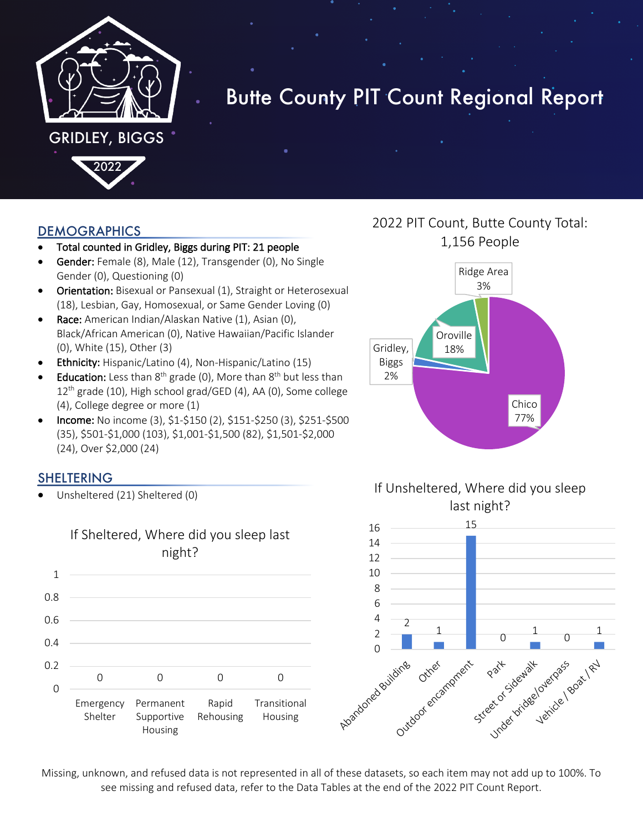

# Butte County PIT Count Regional Report

#### DEMOGRAPHICS

- Total counted in Gridley, Biggs during PIT: 21 people
- Gender: Female (8), Male (12), Transgender (0), No Single Gender (0), Questioning (0)
- Orientation: Bisexual or Pansexual (1), Straight or Heterosexual (18), Lesbian, Gay, Homosexual, or Same Gender Loving (0)
- Race: American Indian/Alaskan Native (1), Asian (0), Black/African American (0), Native Hawaiian/Pacific Islander (0), White (15), Other (3)
- Ethnicity: Hispanic/Latino (4), Non-Hispanic/Latino (15)
- **Education:** Less than  $8<sup>th</sup>$  grade (0), More than  $8<sup>th</sup>$  but less than  $12<sup>th</sup>$  grade (10), High school grad/GED (4), AA (0), Some college (4), College degree or more (1)
- Income: No income (3), \$1-\$150 (2), \$151-\$250 (3), \$251-\$500 (35), \$501-\$1,000 (103), \$1,001-\$1,500 (82), \$1,501-\$2,000 (24), Over \$2,000 (24)

## SHELTERING

• Unsheltered (21) Sheltered (0)



## 2022 PIT Count, Butte County Total: 1,156 People





Missing, unknown, and refused data is not represented in all of these datasets, so each item may not add up to 100%. To see missing and refused data, refer to the Data Tables at the end of the 2022 PIT Count Report.